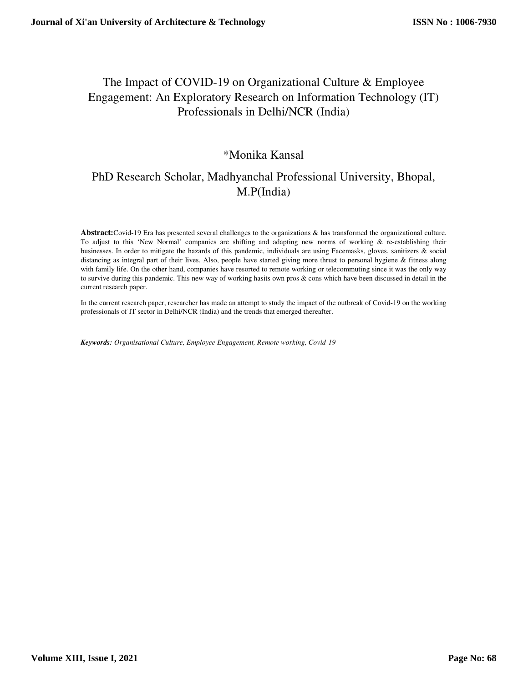# The Impact of COVID-19 on Organizational Culture & Employee Engagement: An Exploratory Research on Information Technology (IT) Professionals in Delhi/NCR (India)

## \*Monika Kansal

# PhD Research Scholar, Madhyanchal Professional University, Bhopal, M.P(India)

**Abstract:**Covid-19 Era has presented several challenges to the organizations & has transformed the organizational culture. To adjust to this 'New Normal' companies are shifting and adapting new norms of working & re-establishing their businesses. In order to mitigate the hazards of this pandemic, individuals are using Facemasks, gloves, sanitizers & social distancing as integral part of their lives. Also, people have started giving more thrust to personal hygiene & fitness along with family life. On the other hand, companies have resorted to remote working or telecommuting since it was the only way to survive during this pandemic. This new way of working hasits own pros & cons which have been discussed in detail in the current research paper.

In the current research paper, researcher has made an attempt to study the impact of the outbreak of Covid-19 on the working professionals of IT sector in Delhi/NCR (India) and the trends that emerged thereafter.

*Keywords: Organisational Culture, Employee Engagement, Remote working, Covid-19*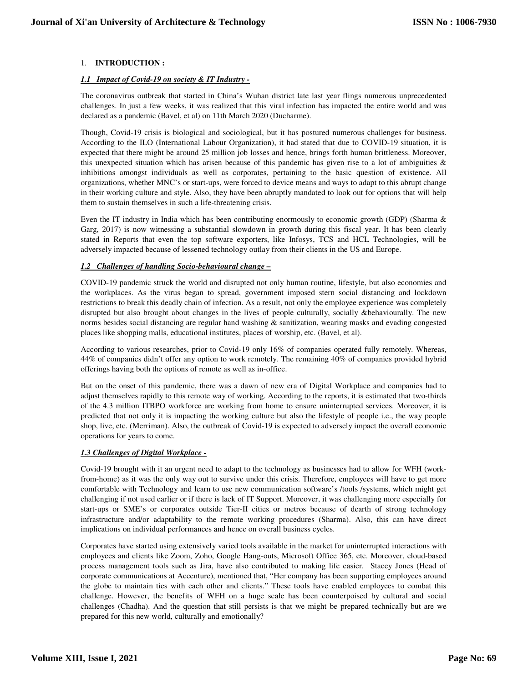## 1. **INTRODUCTION :**

### *1.1 Impact of Covid-19 on society & IT Industry -*

The coronavirus outbreak that started in China's Wuhan district late last year flings numerous unprecedented challenges. In just a few weeks, it was realized that this viral infection has impacted the entire world and was declared as a pandemic (Bavel, et al) on 11th March 2020 (Ducharme).

Though, Covid-19 crisis is biological and sociological, but it has postured numerous challenges for business. According to the ILO (International Labour Organization), it had stated that due to COVID-19 situation, it is expected that there might be around 25 million job losses and hence, brings forth human brittleness. Moreover, this unexpected situation which has arisen because of this pandemic has given rise to a lot of ambiguities  $\&$ inhibitions amongst individuals as well as corporates, pertaining to the basic question of existence. All organizations, whether MNC's or start-ups, were forced to device means and ways to adapt to this abrupt change in their working culture and style. Also, they have been abruptly mandated to look out for options that will help them to sustain themselves in such a life-threatening crisis.

Even the IT industry in India which has been contributing enormously to economic growth (GDP) (Sharma & Garg, 2017) is now witnessing a substantial slowdown in growth during this fiscal year. It has been clearly stated in Reports that even the top software exporters, like Infosys, TCS and HCL Technologies, will be adversely impacted because of lessened technology outlay from their clients in the US and Europe.

## *1.2 Challenges of handling Socio-behavioural change –*

COVID-19 pandemic struck the world and disrupted not only human routine, lifestyle, but also economies and the workplaces. As the virus began to spread, government imposed stern social distancing and lockdown restrictions to break this deadly chain of infection. As a result, not only the employee experience was completely disrupted but also brought about changes in the lives of people culturally, socially &behaviourally. The new norms besides social distancing are regular hand washing & sanitization, wearing masks and evading congested places like shopping malls, educational institutes, places of worship, etc. (Bavel, et al).

According to various researches, prior to Covid-19 only 16% of companies operated fully remotely. Whereas, 44% of companies didn't offer any option to work remotely. The remaining 40% of companies provided hybrid offerings having both the options of remote as well as in-office.

But on the onset of this pandemic, there was a dawn of new era of Digital Workplace and companies had to adjust themselves rapidly to this remote way of working. According to the reports, it is estimated that two-thirds of the 4.3 million ITBPO workforce are working from home to ensure uninterrupted services. Moreover, it is predicted that not only it is impacting the working culture but also the lifestyle of people i.e., the way people shop, live, etc. (Merriman). Also, the outbreak of Covid-19 is expected to adversely impact the overall economic operations for years to come.

#### *1.3 Challenges of Digital Workplace -*

Covid-19 brought with it an urgent need to adapt to the technology as businesses had to allow for WFH (workfrom-home) as it was the only way out to survive under this crisis. Therefore, employees will have to get more comfortable with Technology and learn to use new communication software's /tools /systems, which might get challenging if not used earlier or if there is lack of IT Support. Moreover, it was challenging more especially for start-ups or SME's or corporates outside Tier-II cities or metros because of dearth of strong technology infrastructure and/or adaptability to the remote working procedures (Sharma). Also, this can have direct implications on individual performances and hence on overall business cycles.

Corporates have started using extensively varied tools available in the market for uninterrupted interactions with employees and clients like Zoom, Zoho, Google Hang-outs, Microsoft Office 365, etc. Moreover, cloud-based process management tools such as Jira, have also contributed to making life easier. Stacey Jones (Head of corporate communications at Accenture), mentioned that, "Her company has been supporting employees around the globe to maintain ties with each other and clients." These tools have enabled employees to combat this challenge. However, the benefits of WFH on a huge scale has been counterpoised by cultural and social challenges (Chadha). And the question that still persists is that we might be prepared technically but are we prepared for this new world, culturally and emotionally?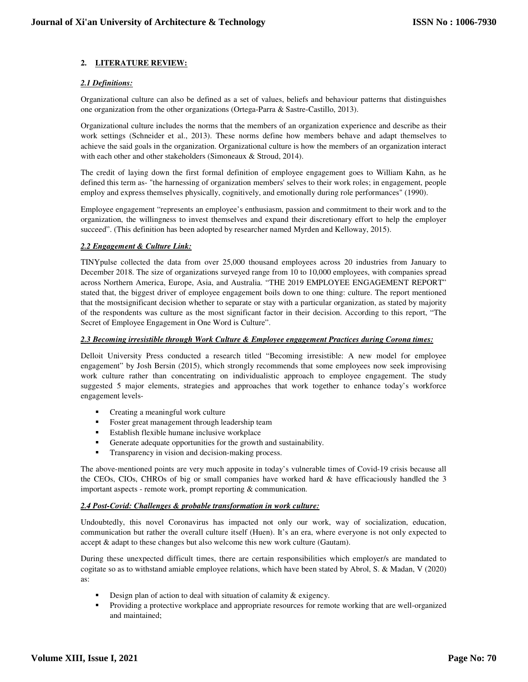## **2. LITERATURE REVIEW:**

## *2.1 Definitions:*

Organizational culture can also be defined as a set of values, beliefs and behaviour patterns that distinguishes one organization from the other organizations (Ortega-Parra & Sastre-Castillo, 2013).

Organizational culture includes the norms that the members of an organization experience and describe as their work settings (Schneider et al., 2013). These norms define how members behave and adapt themselves to achieve the said goals in the organization. Organizational culture is how the members of an organization interact with each other and other stakeholders (Simoneaux & Stroud, 2014).

The credit of laying down the first formal definition of employee engagement goes to William Kahn, as he defined this term as- "the harnessing of organization members' selves to their work roles; in engagement, people employ and express themselves physically, cognitively, and emotionally during role performances" (1990).

Employee engagement "represents an employee's enthusiasm, passion and commitment to their work and to the organization, the willingness to invest themselves and expand their discretionary effort to help the employer succeed". (This definition has been adopted by researcher named Myrden and Kelloway, 2015).

#### *2.2 Engagement & Culture Link:*

TINYpulse collected the data from over 25,000 thousand employees across 20 industries from January to December 2018. The size of organizations surveyed range from 10 to 10,000 employees, with companies spread across Northern America, Europe, Asia, and Australia. "THE 2019 EMPLOYEE ENGAGEMENT REPORT" stated that, the biggest driver of employee engagement boils down to one thing: culture. The report mentioned that the mostsignificant decision whether to separate or stay with a particular organization, as stated by majority of the respondents was culture as the most significant factor in their decision. According to this report, "The Secret of Employee Engagement in One Word is Culture".

#### *2.3 Becoming irresistible through Work Culture & Employee engagement Practices during Corona times:*

Delloit University Press conducted a research titled "Becoming irresistible: A new model for employee engagement" by Josh Bersin (2015), which strongly recommends that some employees now seek improvising work culture rather than concentrating on individualistic approach to employee engagement. The study suggested 5 major elements, strategies and approaches that work together to enhance today's workforce engagement levels-

- Creating a meaningful work culture
- **Foster great management through leadership team**
- Establish flexible humane inclusive workplace
- Generate adequate opportunities for the growth and sustainability.
- Transparency in vision and decision-making process.

The above-mentioned points are very much apposite in today's vulnerable times of Covid-19 crisis because all the CEOs, CIOs, CHROs of big or small companies have worked hard  $\&$  have efficaciously handled the 3 important aspects - remote work, prompt reporting & communication.

#### *2.4 Post-Covid: Challenges & probable transformation in work culture:*

Undoubtedly, this novel Coronavirus has impacted not only our work, way of socialization, education, communication but rather the overall culture itself (Huen). It's an era, where everyone is not only expected to accept & adapt to these changes but also welcome this new work culture (Gautam).

During these unexpected difficult times, there are certain responsibilities which employer/s are mandated to cogitate so as to withstand amiable employee relations, which have been stated by Abrol, S. & Madan, V (2020) as:

- Design plan of action to deal with situation of calamity & exigency.
- Providing a protective workplace and appropriate resources for remote working that are well-organized and maintained;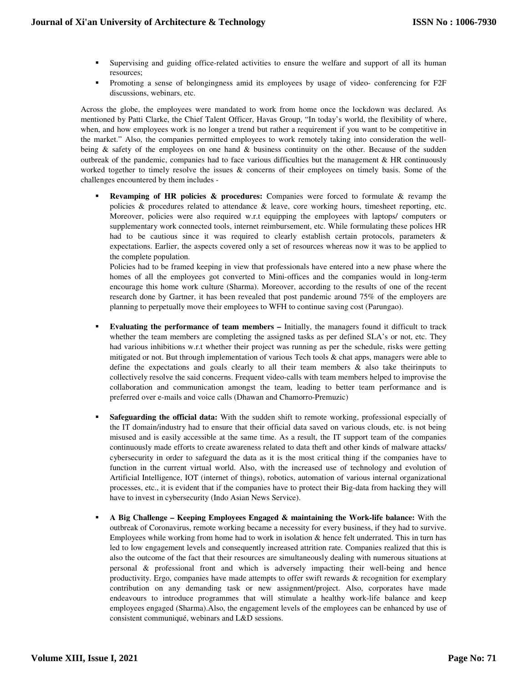- Supervising and guiding office-related activities to ensure the welfare and support of all its human resources;
- Promoting a sense of belongingness amid its employees by usage of video- conferencing for F2F discussions, webinars, etc.

Across the globe, the employees were mandated to work from home once the lockdown was declared. As mentioned by Patti Clarke, the Chief Talent Officer, Havas Group, "In today's world, the flexibility of where, when, and how employees work is no longer a trend but rather a requirement if you want to be competitive in the market." Also, the companies permitted employees to work remotely taking into consideration the wellbeing & safety of the employees on one hand & business continuity on the other. Because of the sudden outbreak of the pandemic, companies had to face various difficulties but the management  $\&$  HR continuously worked together to timely resolve the issues  $\&$  concerns of their employees on timely basis. Some of the challenges encountered by them includes -

**Revamping of HR policies & procedures:** Companies were forced to formulate & revamp the policies & procedures related to attendance & leave, core working hours, timesheet reporting, etc. Moreover, policies were also required w.r.t equipping the employees with laptops/ computers or supplementary work connected tools, internet reimbursement, etc. While formulating these polices HR had to be cautious since it was required to clearly establish certain protocols, parameters & expectations. Earlier, the aspects covered only a set of resources whereas now it was to be applied to the complete population.

Policies had to be framed keeping in view that professionals have entered into a new phase where the homes of all the employees got converted to Mini-offices and the companies would in long-term encourage this home work culture (Sharma). Moreover, according to the results of one of the recent research done by Gartner, it has been revealed that post pandemic around 75% of the employers are planning to perpetually move their employees to WFH to continue saving cost (Parungao).

- **Evaluating the performance of team members –** Initially, the managers found it difficult to track whether the team members are completing the assigned tasks as per defined SLA's or not, etc. They had various inhibitions w.r.t whether their project was running as per the schedule, risks were getting mitigated or not. But through implementation of various Tech tools & chat apps, managers were able to define the expectations and goals clearly to all their team members  $\&$  also take theirinputs to collectively resolve the said concerns. Frequent video-calls with team members helped to improvise the collaboration and communication amongst the team, leading to better team performance and is preferred over e-mails and voice calls (Dhawan and Chamorro-Premuzic)
- **Safeguarding the official data:** With the sudden shift to remote working, professional especially of the IT domain/industry had to ensure that their official data saved on various clouds, etc. is not being misused and is easily accessible at the same time. As a result, the IT support team of the companies continuously made efforts to create awareness related to data theft and other kinds of malware attacks/ cybersecurity in order to safeguard the data as it is the most critical thing if the companies have to function in the current virtual world. Also, with the increased use of technology and evolution of Artificial Intelligence, IOT (internet of things), robotics, automation of various internal organizational processes, etc., it is evident that if the companies have to protect their Big-data from hacking they will have to invest in cybersecurity (Indo Asian News Service).
- **A Big Challenge Keeping Employees Engaged & maintaining the Work-life balance:** With the outbreak of Coronavirus, remote working became a necessity for every business, if they had to survive. Employees while working from home had to work in isolation & hence felt underrated. This in turn has led to low engagement levels and consequently increased attrition rate. Companies realized that this is also the outcome of the fact that their resources are simultaneously dealing with numerous situations at personal & professional front and which is adversely impacting their well-being and hence productivity. Ergo, companies have made attempts to offer swift rewards & recognition for exemplary contribution on any demanding task or new assignment/project. Also, corporates have made endeavours to introduce programmes that will stimulate a healthy work-life balance and keep employees engaged (Sharma).Also, the engagement levels of the employees can be enhanced by use of consistent communiqué, webinars and L&D sessions.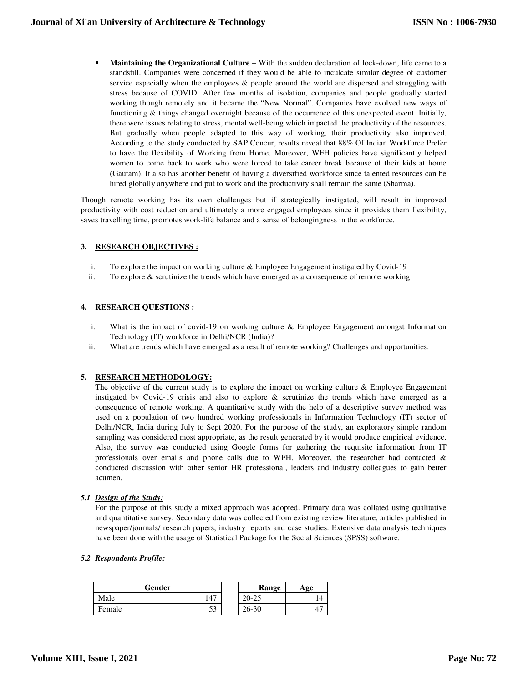**Maintaining the Organizational Culture –** With the sudden declaration of lock-down, life came to a standstill. Companies were concerned if they would be able to inculcate similar degree of customer service especially when the employees & people around the world are dispersed and struggling with stress because of COVID. After few months of isolation, companies and people gradually started working though remotely and it became the "New Normal". Companies have evolved new ways of functioning & things changed overnight because of the occurrence of this unexpected event. Initially, there were issues relating to stress, mental well-being which impacted the productivity of the resources. But gradually when people adapted to this way of working, their productivity also improved. According to the study conducted by SAP Concur, results reveal that 88% Of Indian Workforce Prefer to have the flexibility of Working from Home. Moreover, WFH policies have significantly helped women to come back to work who were forced to take career break because of their kids at home (Gautam). It also has another benefit of having a diversified workforce since talented resources can be hired globally anywhere and put to work and the productivity shall remain the same (Sharma).

Though remote working has its own challenges but if strategically instigated, will result in improved productivity with cost reduction and ultimately a more engaged employees since it provides them flexibility, saves travelling time, promotes work-life balance and a sense of belongingness in the workforce.

## **3. RESEARCH OBJECTIVES :**

- i. To explore the impact on working culture  $&$  Employee Engagement instigated by Covid-19
- ii. To explore & scrutinize the trends which have emerged as a consequence of remote working

#### **4. RESEARCH QUESTIONS :**

- i. What is the impact of covid-19 on working culture & Employee Engagement amongst Information Technology (IT) workforce in Delhi/NCR (India)?
- ii. What are trends which have emerged as a result of remote working? Challenges and opportunities.

#### **5. RESEARCH METHODOLOGY:**

The objective of the current study is to explore the impact on working culture  $\&$  Employee Engagement instigated by Covid-19 crisis and also to explore & scrutinize the trends which have emerged as a consequence of remote working. A quantitative study with the help of a descriptive survey method was used on a population of two hundred working professionals in Information Technology (IT) sector of Delhi/NCR, India during July to Sept 2020. For the purpose of the study, an exploratory simple random sampling was considered most appropriate, as the result generated by it would produce empirical evidence. Also, the survey was conducted using Google forms for gathering the requisite information from IT professionals over emails and phone calls due to WFH. Moreover, the researcher had contacted  $\&$ conducted discussion with other senior HR professional, leaders and industry colleagues to gain better acumen.

#### *5.1 Design of the Study:*

For the purpose of this study a mixed approach was adopted. Primary data was collated using qualitative and quantitative survey. Secondary data was collected from existing review literature, articles published in newspaper/journals/ research papers, industry reports and case studies. Extensive data analysis techniques have been done with the usage of Statistical Package for the Social Sciences (SPSS) software.

*5.2 Respondents Profile:*

| Gender |                | Range                         | Age |
|--------|----------------|-------------------------------|-----|
| Aale   | $\overline{A}$ | nΩ<br>$\cap \subset$<br>ZU-ZJ | 14  |
| ⊦emale | یہ<br>JЭ       | $26 - 30$                     |     |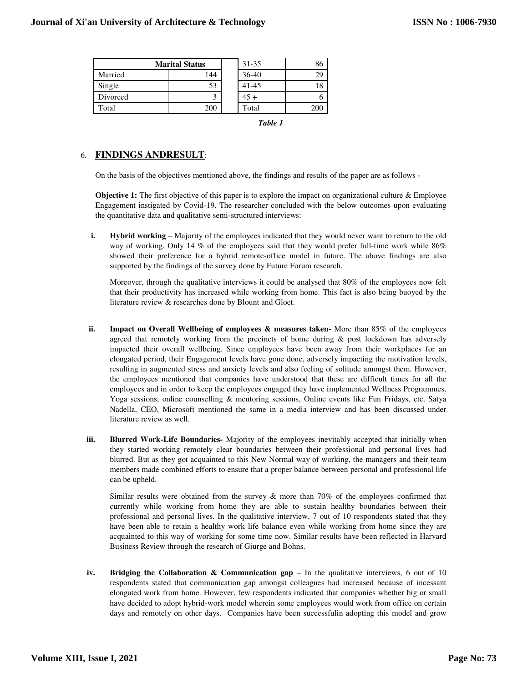| <b>Marital Status</b> |     | $31 - 35$ | 86  |
|-----------------------|-----|-----------|-----|
| Married               | 144 | $36 - 40$ | 29  |
| Single                | 53  | $41 - 45$ |     |
| Divorced              | ◠   | $45 +$    |     |
| Total                 | 200 | Total     | 200 |

*Table 1* 

## 6. **FINDINGS ANDRESULT**:

On the basis of the objectives mentioned above, the findings and results of the paper are as follows -

**Objective 1:** The first objective of this paper is to explore the impact on organizational culture & Employee Engagement instigated by Covid-19. The researcher concluded with the below outcomes upon evaluating the quantitative data and qualitative semi-structured interviews:

**i. Hybrid working** – Majority of the employees indicated that they would never want to return to the old way of working. Only 14 % of the employees said that they would prefer full-time work while 86% showed their preference for a hybrid remote-office model in future. The above findings are also supported by the findings of the survey done by Future Forum research.

Moreover, through the qualitative interviews it could be analysed that 80% of the employees now felt that their productivity has increased while working from home. This fact is also being buoyed by the literature review & researches done by Blount and Gloet.

- **ii. Impact on Overall Wellbeing of employees & measures taken-** More than 85% of the employees agreed that remotely working from the precincts of home during & post lockdown has adversely impacted their overall wellbeing. Since employees have been away from their workplaces for an elongated period, their Engagement levels have gone done, adversely impacting the motivation levels, resulting in augmented stress and anxiety levels and also feeling of solitude amongst them. However, the employees mentioned that companies have understood that these are difficult times for all the employees and in order to keep the employees engaged they have implemented Wellness Programmes, Yoga sessions, online counselling & mentoring sessions, Online events like Fun Fridays, etc. Satya Nadella, CEO, Microsoft mentioned the same in a media interview and has been discussed under literature review as well.
- **iii. Blurred Work-Life Boundaries-** Majority of the employees inevitably accepted that initially when they started working remotely clear boundaries between their professional and personal lives had blurred. But as they got acquainted to this New Normal way of working, the managers and their team members made combined efforts to ensure that a proper balance between personal and professional life can be upheld.

Similar results were obtained from the survey  $\&$  more than 70% of the employees confirmed that currently while working from home they are able to sustain healthy boundaries between their professional and personal lives. In the qualitative interview, 7 out of 10 respondents stated that they have been able to retain a healthy work life balance even while working from home since they are acquainted to this way of working for some time now. Similar results have been reflected in Harvard Business Review through the research of Giurge and Bohns.

**iv. Bridging the Collaboration & Communication gap** – In the qualitative interviews, 6 out of 10 respondents stated that communication gap amongst colleagues had increased because of incessant elongated work from home. However, few respondents indicated that companies whether big or small have decided to adopt hybrid-work model wherein some employees would work from office on certain days and remotely on other days. Companies have been successfulin adopting this model and grow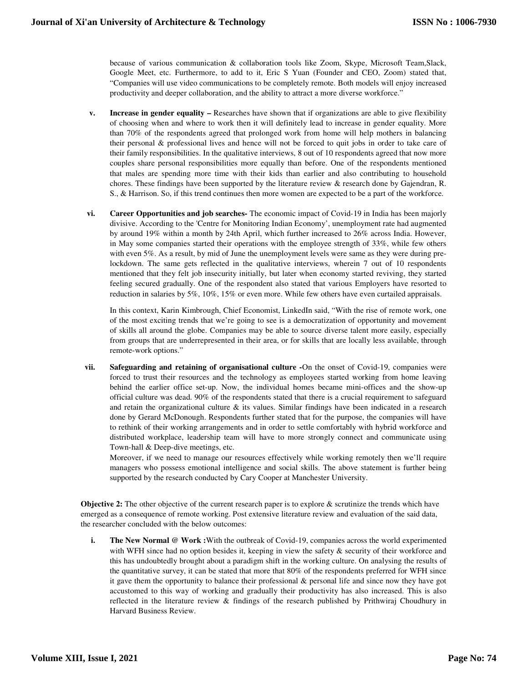because of various communication & collaboration tools like Zoom, Skype, Microsoft Team,Slack, Google Meet, etc. Furthermore, to add to it, Eric S Yuan (Founder and CEO, Zoom) stated that, "Companies will use video communications to be completely remote. Both models will enjoy increased productivity and deeper collaboration, and the ability to attract a more diverse workforce."

- **v. Increase in gender equality** Researches have shown that if organizations are able to give flexibility of choosing when and where to work then it will definitely lead to increase in gender equality. More than 70% of the respondents agreed that prolonged work from home will help mothers in balancing their personal & professional lives and hence will not be forced to quit jobs in order to take care of their family responsibilities. In the qualitative interviews, 8 out of 10 respondents agreed that now more couples share personal responsibilities more equally than before. One of the respondents mentioned that males are spending more time with their kids than earlier and also contributing to household chores. These findings have been supported by the literature review & research done by Gajendran, R. S., & Harrison. So, if this trend continues then more women are expected to be a part of the workforce.
- **vi. Career Opportunities and job searches-** The economic impact of Covid-19 in India has been majorly divisive. According to the 'Centre for Monitoring Indian Economy', unemployment rate had augmented by around 19% within a month by 24th April, which further increased to 26% across India. However, in May some companies started their operations with the employee strength of 33%, while few others with even 5%. As a result, by mid of June the unemployment levels were same as they were during prelockdown. The same gets reflected in the qualitative interviews, wherein 7 out of 10 respondents mentioned that they felt job insecurity initially, but later when economy started reviving, they started feeling secured gradually. One of the respondent also stated that various Employers have resorted to reduction in salaries by 5%, 10%, 15% or even more. While few others have even curtailed appraisals.

In this context, Karin Kimbrough, Chief Economist, LinkedIn said, "With the rise of remote work, one of the most exciting trends that we're going to see is a democratization of opportunity and movement of skills all around the globe. Companies may be able to source diverse talent more easily, especially from groups that are underrepresented in their area, or for skills that are locally less available, through remote-work options."

**vii. Safeguarding and retaining of organisational culture -**On the onset of Covid-19, companies were forced to trust their resources and the technology as employees started working from home leaving behind the earlier office set-up. Now, the individual homes became mini-offices and the show-up official culture was dead. 90% of the respondents stated that there is a crucial requirement to safeguard and retain the organizational culture  $\&$  its values. Similar findings have been indicated in a research done by Gerard McDonough. Respondents further stated that for the purpose, the companies will have to rethink of their working arrangements and in order to settle comfortably with hybrid workforce and distributed workplace, leadership team will have to more strongly connect and communicate using Town-hall & Deep-dive meetings, etc.

Moreover, if we need to manage our resources effectively while working remotely then we'll require managers who possess emotional intelligence and social skills. The above statement is further being supported by the research conducted by Cary Cooper at Manchester University.

**Objective 2:** The other objective of the current research paper is to explore & scrutinize the trends which have emerged as a consequence of remote working. Post extensive literature review and evaluation of the said data, the researcher concluded with the below outcomes:

**i. The New Normal @ Work :**With the outbreak of Covid-19, companies across the world experimented with WFH since had no option besides it, keeping in view the safety  $\&$  security of their workforce and this has undoubtedly brought about a paradigm shift in the working culture. On analysing the results of the quantitative survey, it can be stated that more that 80% of the respondents preferred for WFH since it gave them the opportunity to balance their professional & personal life and since now they have got accustomed to this way of working and gradually their productivity has also increased. This is also reflected in the literature review & findings of the research published by Prithwiraj Choudhury in Harvard Business Review.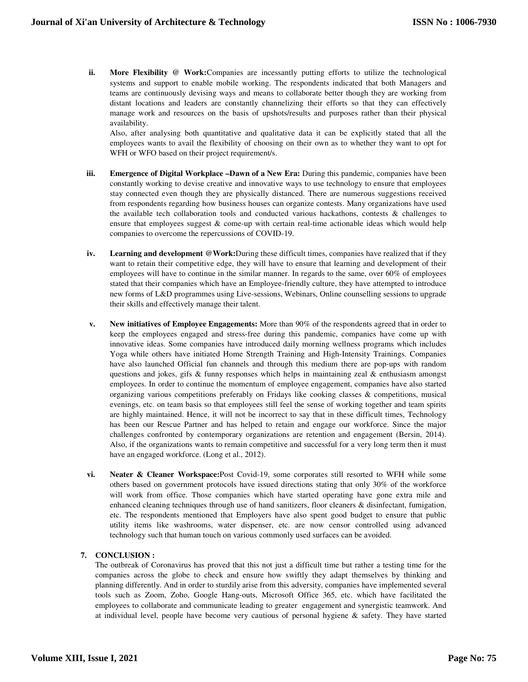**ii. More Flexibility @ Work:**Companies are incessantly putting efforts to utilize the technological systems and support to enable mobile working. The respondents indicated that both Managers and teams are continuously devising ways and means to collaborate better though they are working from distant locations and leaders are constantly channelizing their efforts so that they can effectively manage work and resources on the basis of upshots/results and purposes rather than their physical availability.

Also, after analysing both quantitative and qualitative data it can be explicitly stated that all the employees wants to avail the flexibility of choosing on their own as to whether they want to opt for WFH or WFO based on their project requirement/s.

- **iii. Emergence of Digital Workplace –Dawn of a New Era:** During this pandemic, companies have been constantly working to devise creative and innovative ways to use technology to ensure that employees stay connected even though they are physically distanced. There are numerous suggestions received from respondents regarding how business houses can organize contests. Many organizations have used the available tech collaboration tools and conducted various hackathons, contests & challenges to ensure that employees suggest & come-up with certain real-time actionable ideas which would help companies to overcome the repercussions of COVID-19.
- **iv. Learning and development @Work:**During these difficult times, companies have realized that if they want to retain their competitive edge, they will have to ensure that learning and development of their employees will have to continue in the similar manner. In regards to the same, over 60% of employees stated that their companies which have an Employee-friendly culture, they have attempted to introduce new forms of L&D programmes using Live-sessions, Webinars, Online counselling sessions to upgrade their skills and effectively manage their talent.
- **v. New initiatives of Employee Engagements:** More than 90% of the respondents agreed that in order to keep the employees engaged and stress-free during this pandemic, companies have come up with innovative ideas. Some companies have introduced daily morning wellness programs which includes Yoga while others have initiated Home Strength Training and High-Intensity Trainings. Companies have also launched Official fun channels and through this medium there are pop-ups with random questions and jokes, gifs  $\&$  funny responses which helps in maintaining zeal  $\&$  enthusiasm amongst employees. In order to continue the momentum of employee engagement, companies have also started organizing various competitions preferably on Fridays like cooking classes & competitions, musical evenings, etc. on team basis so that employees still feel the sense of working together and team spirits are highly maintained. Hence, it will not be incorrect to say that in these difficult times, Technology has been our Rescue Partner and has helped to retain and engage our workforce. Since the major challenges confronted by contemporary organizations are retention and engagement (Bersin, 2014). Also, if the organizations wants to remain competitive and successful for a very long term then it must have an engaged workforce. (Long et al., 2012).
- **vi. Neater & Cleaner Workspace:**Post Covid-19, some corporates still resorted to WFH while some others based on government protocols have issued directions stating that only 30% of the workforce will work from office. Those companies which have started operating have gone extra mile and enhanced cleaning techniques through use of hand sanitizers, floor cleaners & disinfectant, fumigation, etc. The respondents mentioned that Employers have also spent good budget to ensure that public utility items like washrooms, water dispenser, etc. are now censor controlled using advanced technology such that human touch on various commonly used surfaces can be avoided.

## **7. CONCLUSION :**

The outbreak of Coronavirus has proved that this not just a difficult time but rather a testing time for the companies across the globe to check and ensure how swiftly they adapt themselves by thinking and planning differently. And in order to sturdily arise from this adversity, companies have implemented several tools such as Zoom, Zoho, Google Hang-outs, Microsoft Office 365, etc. which have facilitated the employees to collaborate and communicate leading to greater engagement and synergistic teamwork. And at individual level, people have become very cautious of personal hygiene & safety. They have started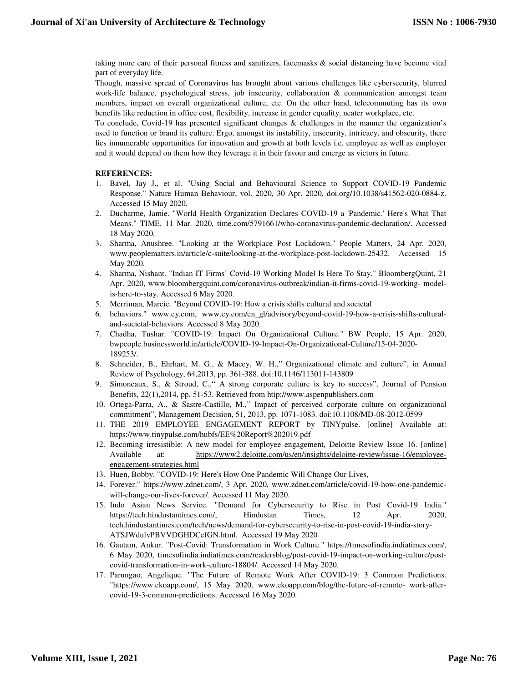taking more care of their personal fitness and sanitizers, facemasks & social distancing have become vital part of everyday life.

Though, massive spread of Coronavirus has brought about various challenges like cybersecurity, blurred work-life balance, psychological stress, job insecurity, collaboration & communication amongst team members, impact on overall organizational culture, etc. On the other hand, telecommuting has its own benefits like reduction in office cost, flexibility, increase in gender equality, neater workplace, etc.

To conclude, Covid-19 has presented significant changes & challenges in the manner the organization's used to function or brand its culture. Ergo, amongst its instability, insecurity, intricacy, and obscurity, there lies innumerable opportunities for innovation and growth at both levels i.e. employee as well as employer and it would depend on them how they leverage it in their favour and emerge as victors in future.

#### **REFERENCES:**

- 1. Bavel, Jay J., et al. "Using Social and Behavioural Science to Support COVID-19 Pandemic Response." Nature Human Behaviour, vol. 2020, 30 Apr. 2020, doi.org/10.1038/s41562-020-0884-z. Accessed 15 May 2020.
- 2. Ducharme, Jamie. "World Health Organization Declares COVID-19 a 'Pandemic.' Here's What That Means." TIME, 11 Mar. 2020, time.com/5791661/who-coronavirus-pandemic-declaration/. Accessed 18 May 2020.
- 3. Sharma, Anushree. "Looking at the Workplace Post Lockdown." People Matters, 24 Apr. 2020, www.peoplematters.in/article/c-suite/looking-at-the-workplace-post-lockdown-25432. Accessed 15 May 2020.
- 4. Sharma, Nishant. "Indian IT Firms' Covid-19 Working Model Is Here To Stay." BloombergQuint, 21 Apr. 2020, www.bloombergquint.com/coronavirus-outbreak/indian-it-firms-covid-19-working- modelis-here-to-stay. Accessed 6 May 2020.
- 5. Merriman, Marcie. "Beyond COVID-19: How a crisis shifts cultural and societal
- 6. behaviors." www.ey.com, www.ey.com/en\_gl/advisory/beyond-covid-19-how-a-crisis-shifts-culturaland-societal-behaviors. Accessed 8 May 2020.
- 7. Chadha, Tushar. "COVID-19: Impact On Organizational Culture." BW People, 15 Apr. 2020, bwpeople.businessworld.in/article/COVID-19-Impact-On-Organizational-Culture/15-04-2020- 189253/.
- 8. Schneider, B., Ehrhart, M. G., & Macey, W. H.," Organizational climate and culture", in Annual Review of Psychology, 64,2013, pp. 361-388. doi:10.1146/113011-143809
- 9. Simoneaux, S., & Stroud, C.," A strong corporate culture is key to success", Journal of Pension Benefits, 22(1),2014, pp. 51-53. Retrieved from http://www.aspenpublishers.com
- 10. Ortega-Parra, A., & Sastre-Castillo, M.," Impact of perceived corporate culture on organizational commitment", Management Decision, 51, 2013, pp. 1071-1083. doi:10.1108/MD-08-2012-0599
- 11. THE 2019 EMPLOYEE ENGAGEMENT REPORT by TINYpulse. [online] Available at: https://www.tinypulse.com/hubfs/EE%20Report%202019.pdf
- 12. Becoming irresistible: A new model for employee engagement, Deloitte Review Issue 16. [online] Available at: https://www2.deloitte.com/us/en/insights/deloitte-review/issue-16/employeeengagement-strategies.html
- 13. Huen, Bobby. "COVID-19: Here's How One Pandemic Will Change Our Lives,
- 14. Forever." https://www.zdnet.com/, 3 Apr. 2020, www.zdnet.com/article/covid-19-how-one-pandemicwill-change-our-lives-forever/. Accessed 11 May 2020.
- 15. Indo Asian News Service. "Demand for Cybersecurity to Rise in Post Covid-19 India." https://tech.hindustantimes.com/, Hindustan Times, 12 Apr. 2020, tech.hindustantimes.com/tech/news/demand-for-cybersecurity-to-rise-in-post-covid-19-india-story-ATSJWdulvPBVVDGHDCefGN.html. Accessed 19 May 2020
- 16. Gautam, Ankur. "Post-Covid: Transformation in Work Culture." https://timesofindia.indiatimes.com/, 6 May 2020, timesofindia.indiatimes.com/readersblog/post-covid-19-impact-on-working-culture/postcovid-transformation-in-work-culture-18804/. Accessed 14 May 2020.
- 17. Parungao, Angelique. "The Future of Remote Work After COVID-19: 3 Common Predictions. "https://www.ekoapp.com/, 15 May 2020, www.ekoapp.com/blog/the-future-of-remote- work-aftercovid-19-3-common-predictions. Accessed 16 May 2020.